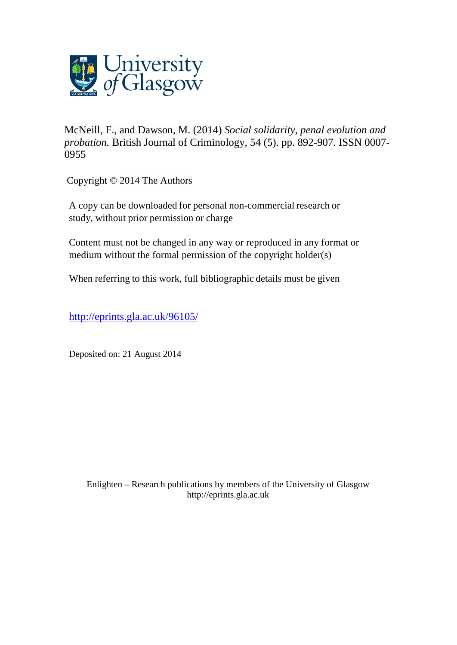

[McNeill, F.,](http://eprints.gla.ac.uk/view/author/5345.html) and [Dawson, M.](http://eprints.gla.ac.uk/view/author/16746.html) (2014) *Social solidarity, penal evolution and probation.* [British Journal of Criminology,](http://eprints.gla.ac.uk/view/journal_volume/British_Journal_of_Criminology.html) 54 (5). pp. 892-907. ISSN 0007- 0955

Copyright © 2014 The Authors

A copy can be downloaded for personal non-commercial research or study, without prior permission or charge

Content must not be changed in any way or reproduced in any format or medium without the formal permission of the copyright holder(s)

When referring to this work, full bibliographic details must be given

<http://eprints.gla.ac.uk/96105/>

Deposited on: 21 August 2014

Enlighten – Research publications by members of the University of Glasgo[w](http://eprints.gla.ac.uk/) [http://eprints.gla.ac.uk](http://eprints.gla.ac.uk/)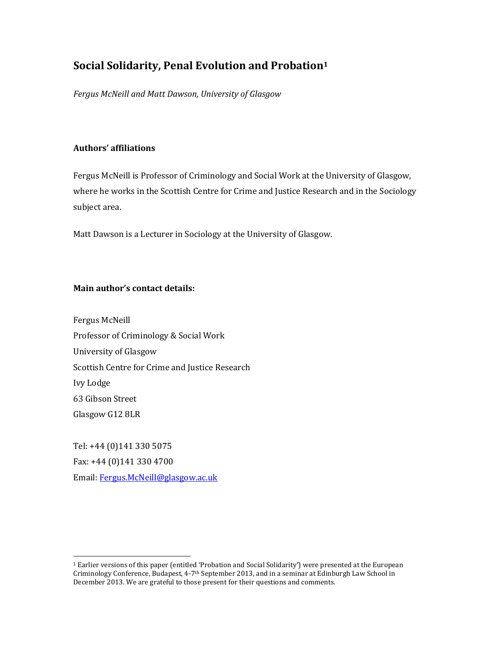# **Social Solidarity, Penal Evolution and Probation<sup>1</sup>**

*Fergus McNeill and Matt Dawson, University of Glasgow*

## **Authors' affiliations**

Fergus McNeill is Professor of Criminology and Social Work at the University of Glasgow, where he works in the Scottish Centre for Crime and Justice Research and in the Sociology subject area.

Matt Dawson is a Lecturer in Sociology at the University of Glasgow.

## **Main author's contact details:**

Fergus McNeill Professor of Criminology & Social Work University of Glasgow Scottish Centre for Crime and Justice Research Ivy Lodge 63 Gibson Street Glasgow G12 8LR

Tel: +44 (0)141 330 5075 Fax: +44 (0)141 330 4700 Email: [Fergus.McNeill@glasgow.ac.uk](mailto:Fergus.McNeill@glasgow.ac.uk)

l

<sup>1</sup> Earlier versions of this paper (entitled 'Probation and Social Solidarity') were presented at the European Criminology Conference, Budapest, 4-7th September 2013, and in a seminar at Edinburgh Law School in December 2013. We are grateful to those present for their questions and comments.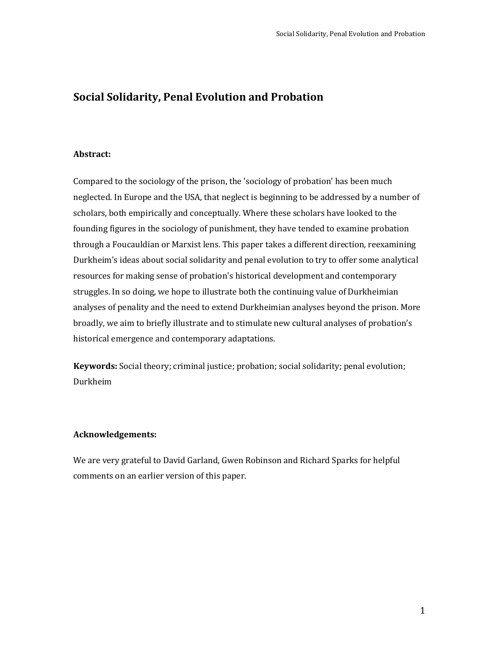## **Social Solidarity, Penal Evolution and Probation**

## **Abstract:**

Compared to the sociology of the prison, the 'sociology of probation' has been much neglected. In Europe and the USA, that neglect is beginning to be addressed by a number of scholars, both empirically and conceptually. Where these scholars have looked to the founding figures in the sociology of punishment, they have tended to examine probation through a Foucauldian or Marxist lens. This paper takes a different direction, reexamining Durkheim's ideas about social solidarity and penal evolution to try to offer some analytical resources for making sense of probation's historical development and contemporary struggles. In so doing, we hope to illustrate both the continuing value of Durkheimian analyses of penality and the need to extend Durkheimian analyses beyond the prison. More broadly, we aim to briefly illustrate and to stimulate new cultural analyses of probation's historical emergence and contemporary adaptations.

**Keywords:** Social theory; criminal justice; probation; social solidarity; penal evolution; Durkheim

## **Acknowledgements:**

We are very grateful to David Garland, Gwen Robinson and Richard Sparks for helpful comments on an earlier version of this paper.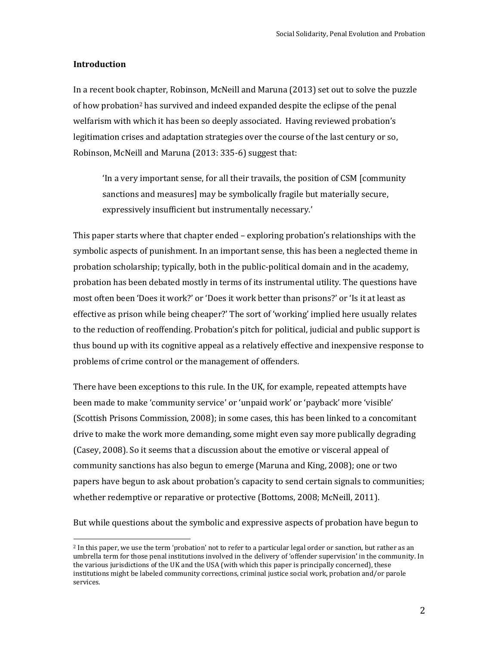#### **Introduction**

 $\overline{a}$ 

In a recent book chapter, Robinson, McNeill and Maruna (2013) set out to solve the puzzle of how probation<sup>2</sup> has survived and indeed expanded despite the eclipse of the penal welfarism with which it has been so deeply associated. Having reviewed probation's legitimation crises and adaptation strategies over the course of the last century or so, Robinson, McNeill and Maruna (2013: 335-6) suggest that:

'In a very important sense, for all their travails, the position of CSM [community sanctions and measures] may be symbolically fragile but materially secure, expressively insufficient but instrumentally necessary.'

This paper starts where that chapter ended – exploring probation's relationships with the symbolic aspects of punishment. In an important sense, this has been a neglected theme in probation scholarship; typically, both in the public-political domain and in the academy, probation has been debated mostly in terms of its instrumental utility. The questions have most often been 'Does it work?' or 'Does it work better than prisons?' or 'Is it at least as effective as prison while being cheaper?' The sort of 'working' implied here usually relates to the reduction of reoffending. Probation's pitch for political, judicial and public support is thus bound up with its cognitive appeal as a relatively effective and inexpensive response to problems of crime control or the management of offenders.

There have been exceptions to this rule. In the UK, for example, repeated attempts have been made to make 'community service' or 'unpaid work' or 'payback' more 'visible' (Scottish Prisons Commission, 2008); in some cases, this has been linked to a concomitant drive to make the work more demanding, some might even say more publically degrading (Casey, 2008). So it seems that a discussion about the emotive or visceral appeal of community sanctions has also begun to emerge (Maruna and King, 2008); one or two papers have begun to ask about probation's capacity to send certain signals to communities; whether redemptive or reparative or protective (Bottoms, 2008; McNeill, 2011).

But while questions about the symbolic and expressive aspects of probation have begun to

 $<sup>2</sup>$  In this paper, we use the term 'probation' not to refer to a particular legal order or sanction, but rather as an</sup> umbrella term for those penal institutions involved in the delivery of 'offender supervision' in the community. In the various jurisdictions of the UK and the USA (with which this paper is principally concerned), these institutions might be labeled community corrections, criminal justice social work, probation and/or parole services.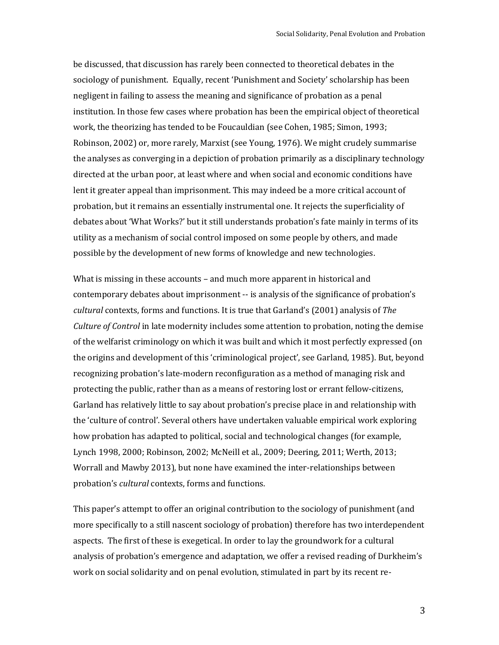be discussed, that discussion has rarely been connected to theoretical debates in the sociology of punishment. Equally, recent 'Punishment and Society' scholarship has been negligent in failing to assess the meaning and significance of probation as a penal institution. In those few cases where probation has been the empirical object of theoretical work, the theorizing has tended to be Foucauldian (see Cohen, 1985; Simon, 1993; Robinson, 2002) or, more rarely, Marxist (see Young, 1976). We might crudely summarise the analyses as converging in a depiction of probation primarily as a disciplinary technology directed at the urban poor, at least where and when social and economic conditions have lent it greater appeal than imprisonment. This may indeed be a more critical account of probation, but it remains an essentially instrumental one. It rejects the superficiality of debates about 'What Works?' but it still understands probation's fate mainly in terms of its utility as a mechanism of social control imposed on some people by others, and made possible by the development of new forms of knowledge and new technologies.

What is missing in these accounts – and much more apparent in historical and contemporary debates about imprisonment -- is analysis of the significance of probation's *cultural* contexts, forms and functions. It is true that Garland's (2001) analysis of *The Culture of Control* in late modernity includes some attention to probation, noting the demise of the welfarist criminology on which it was built and which it most perfectly expressed (on the origins and development of this 'criminological project', see Garland, 1985). But, beyond recognizing probation's late-modern reconfiguration as a method of managing risk and protecting the public, rather than as a means of restoring lost or errant fellow-citizens, Garland has relatively little to say about probation's precise place in and relationship with the 'culture of control'. Several others have undertaken valuable empirical work exploring how probation has adapted to political, social and technological changes (for example, Lynch 1998, 2000; Robinson, 2002; McNeill et al., 2009; Deering, 2011; Werth, 2013; Worrall and Mawby 2013), but none have examined the inter-relationships between probation's *cultural* contexts, forms and functions.

This paper's attempt to offer an original contribution to the sociology of punishment (and more specifically to a still nascent sociology of probation) therefore has two interdependent aspects. The first of these is exegetical. In order to lay the groundwork for a cultural analysis of probation's emergence and adaptation, we offer a revised reading of Durkheim's work on social solidarity and on penal evolution, stimulated in part by its recent re-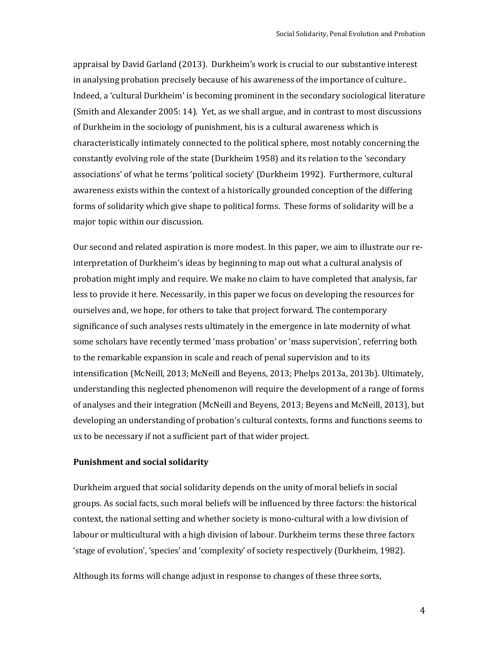appraisal by David Garland (2013). Durkheim's work is crucial to our substantive interest in analysing probation precisely because of his awareness of the importance of culture.. Indeed, a 'cultural Durkheim' is becoming prominent in the secondary sociological literature (Smith and Alexander 2005: 14). Yet, as we shall argue, and in contrast to most discussions of Durkheim in the sociology of punishment, his is a cultural awareness which is characteristically intimately connected to the political sphere, most notably concerning the constantly evolving role of the state (Durkheim 1958) and its relation to the 'secondary associations' of what he terms 'political society' (Durkheim 1992). Furthermore, cultural awareness exists within the context of a historically grounded conception of the differing forms of solidarity which give shape to political forms. These forms of solidarity will be a major topic within our discussion.

Our second and related aspiration is more modest. In this paper, we aim to illustrate our reinterpretation of Durkheim's ideas by beginning to map out what a cultural analysis of probation might imply and require. We make no claim to have completed that analysis, far less to provide it here. Necessarily, in this paper we focus on developing the resources for ourselves and, we hope, for others to take that project forward. The contemporary significance of such analyses rests ultimately in the emergence in late modernity of what some scholars have recently termed 'mass probation' or 'mass supervision', referring both to the remarkable expansion in scale and reach of penal supervision and to its intensification (McNeill, 2013; McNeill and Beyens, 2013; Phelps 2013a, 2013b). Ultimately, understanding this neglected phenomenon will require the development of a range of forms of analyses and their integration (McNeill and Beyens, 2013; Beyens and McNeill, 2013), but developing an understanding of probation's cultural contexts, forms and functions seems to us to be necessary if not a sufficient part of that wider project.

### **Punishment and social solidarity**

Durkheim argued that social solidarity depends on the unity of moral beliefs in social groups. As social facts, such moral beliefs will be influenced by three factors: the historical context, the national setting and whether society is mono-cultural with a low division of labour or multicultural with a high division of labour. Durkheim terms these three factors 'stage of evolution', 'species' and 'complexity' of society respectively (Durkheim, 1982).

Although its forms will change adjust in response to changes of these three sorts,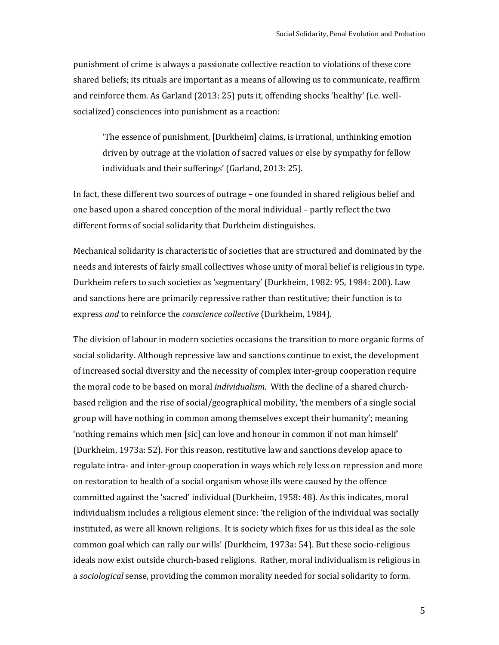punishment of crime is always a passionate collective reaction to violations of these core shared beliefs; its rituals are important as a means of allowing us to communicate, reaffirm and reinforce them. As Garland (2013: 25) puts it, offending shocks 'healthy' (i.e. wellsocialized) consciences into punishment as a reaction:

'The essence of punishment, [Durkheim] claims, is irrational, unthinking emotion driven by outrage at the violation of sacred values or else by sympathy for fellow individuals and their sufferings' (Garland, 2013: 25).

In fact, these different two sources of outrage – one founded in shared religious belief and one based upon a shared conception of the moral individual – partly reflect the two different forms of social solidarity that Durkheim distinguishes.

Mechanical solidarity is characteristic of societies that are structured and dominated by the needs and interests of fairly small collectives whose unity of moral belief is religious in type. Durkheim refers to such societies as 'segmentary' (Durkheim, 1982: 95, 1984: 200). Law and sanctions here are primarily repressive rather than restitutive; their function is to express *and* to reinforce the *conscience collective* (Durkheim, 1984)*.*

The division of labour in modern societies occasions the transition to more organic forms of social solidarity. Although repressive law and sanctions continue to exist, the development of increased social diversity and the necessity of complex inter-group cooperation require the moral code to be based on moral *individualism*. With the decline of a shared churchbased religion and the rise of social/geographical mobility, 'the members of a single social group will have nothing in common among themselves except their humanity'; meaning 'nothing remains which men [sic] can love and honour in common if not man himself' (Durkheim, 1973a: 52). For this reason, restitutive law and sanctions develop apace to regulate intra- and inter-group cooperation in ways which rely less on repression and more on restoration to health of a social organism whose ills were caused by the offence committed against the 'sacred' individual (Durkheim, 1958: 48). As this indicates, moral individualism includes a religious element since: 'the religion of the individual was socially instituted, as were all known religions. It is society which fixes for us this ideal as the sole common goal which can rally our wills' (Durkheim, 1973a: 54). But these socio-religious ideals now exist outside church-based religions. Rather, moral individualism is religious in a *sociological* sense, providing the common morality needed for social solidarity to form.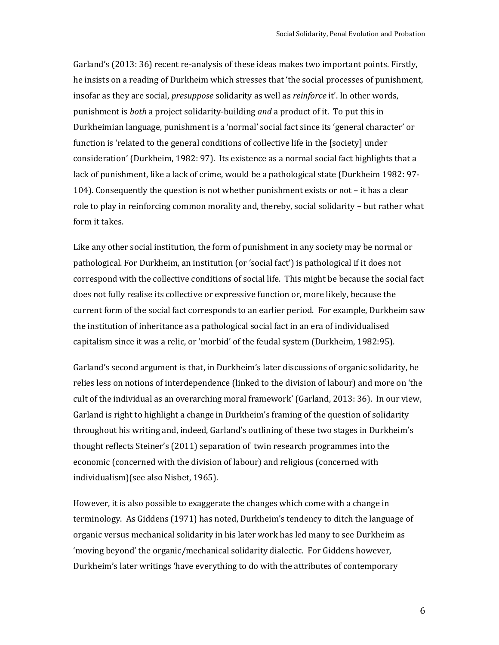Garland's (2013: 36) recent re-analysis of these ideas makes two important points. Firstly, he insists on a reading of Durkheim which stresses that 'the social processes of punishment, insofar as they are social, *presuppose* solidarity as well as *reinforce* it'. In other words, punishment is *both* a project solidarity-building *and* a product of it. To put this in Durkheimian language, punishment is a 'normal' social fact since its 'general character' or function is 'related to the general conditions of collective life in the [society] under consideration' (Durkheim, 1982: 97). Its existence as a normal social fact highlights that a lack of punishment, like a lack of crime, would be a pathological state (Durkheim 1982: 97- 104). Consequently the question is not whether punishment exists or not – it has a clear role to play in reinforcing common morality and, thereby, social solidarity – but rather what form it takes.

Like any other social institution, the form of punishment in any society may be normal or pathological. For Durkheim, an institution (or 'social fact') is pathological if it does not correspond with the collective conditions of social life. This might be because the social fact does not fully realise its collective or expressive function or, more likely, because the current form of the social fact corresponds to an earlier period. For example, Durkheim saw the institution of inheritance as a pathological social fact in an era of individualised capitalism since it was a relic, or 'morbid' of the feudal system (Durkheim, 1982:95).

Garland's second argument is that, in Durkheim's later discussions of organic solidarity, he relies less on notions of interdependence (linked to the division of labour) and more on 'the cult of the individual as an overarching moral framework' (Garland, 2013: 36). In our view, Garland is right to highlight a change in Durkheim's framing of the question of solidarity throughout his writing and, indeed, Garland's outlining of these two stages in Durkheim's thought reflects Steiner's (2011) separation of twin research programmes into the economic (concerned with the division of labour) and religious (concerned with individualism)(see also Nisbet, 1965).

However, it is also possible to exaggerate the changes which come with a change in terminology. As Giddens (1971) has noted, Durkheim's tendency to ditch the language of organic versus mechanical solidarity in his later work has led many to see Durkheim as 'moving beyond' the organic/mechanical solidarity dialectic. For Giddens however, Durkheim's later writings 'have everything to do with the attributes of contemporary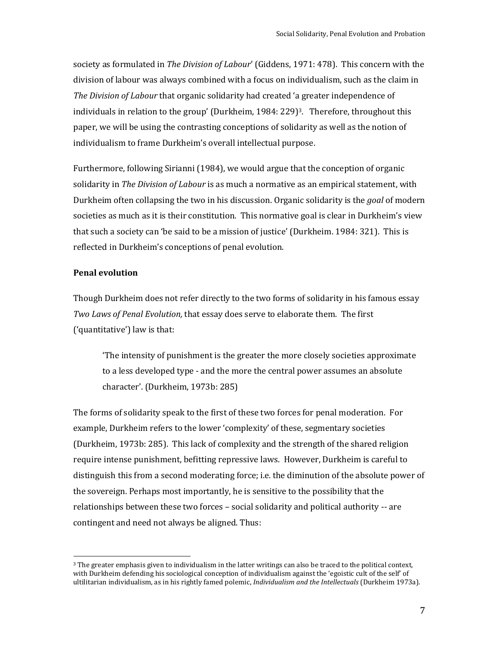society as formulated in *The Division of Labour*' (Giddens, 1971: 478). This concern with the division of labour was always combined with a focus on individualism, such as the claim in *The Division of Labour* that organic solidarity had created 'a greater independence of individuals in relation to the group' (Durkheim, 1984: 229)<sup>3</sup>. Therefore, throughout this paper, we will be using the contrasting conceptions of solidarity as well as the notion of individualism to frame Durkheim's overall intellectual purpose.

Furthermore, following Sirianni (1984), we would argue that the conception of organic solidarity in *The Division of Labour* is as much a normative as an empirical statement, with Durkheim often collapsing the two in his discussion. Organic solidarity is the *goal* of modern societies as much as it is their constitution. This normative goal is clear in Durkheim's view that such a society can 'be said to be a mission of justice' (Durkheim. 1984: 321). This is reflected in Durkheim's conceptions of penal evolution.

#### **Penal evolution**

l

Though Durkheim does not refer directly to the two forms of solidarity in his famous essay *Two Laws of Penal Evolution,* that essay does serve to elaborate them*.* The first ('quantitative') law is that:

'The intensity of punishment is the greater the more closely societies approximate to a less developed type - and the more the central power assumes an absolute character'. (Durkheim, 1973b: 285)

The forms of solidarity speak to the first of these two forces for penal moderation. For example, Durkheim refers to the lower 'complexity' of these, segmentary societies (Durkheim, 1973b: 285). This lack of complexity and the strength of the shared religion require intense punishment, befitting repressive laws. However, Durkheim is careful to distinguish this from a second moderating force; i.e. the diminution of the absolute power of the sovereign. Perhaps most importantly, he is sensitive to the possibility that the relationships between these two forces – social solidarity and political authority -- are contingent and need not always be aligned. Thus:

<sup>3</sup> The greater emphasis given to individualism in the latter writings can also be traced to the political context, with Durkheim defending his sociological conception of individualism against the 'egoistic cult of the self' of ultilitarian individualism, as in his rightly famed polemic, *Individualism and the Intellectuals* (Durkheim 1973a).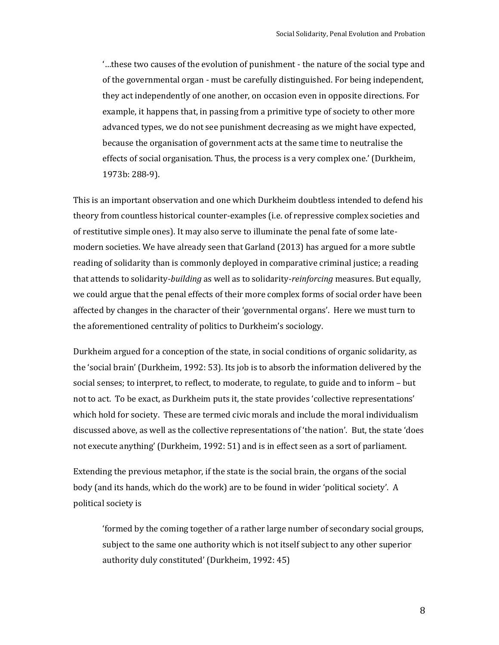'…these two causes of the evolution of punishment - the nature of the social type and of the governmental organ - must be carefully distinguished. For being independent, they act independently of one another, on occasion even in opposite directions. For example, it happens that, in passing from a primitive type of society to other more advanced types, we do not see punishment decreasing as we might have expected, because the organisation of government acts at the same time to neutralise the effects of social organisation. Thus, the process is a very complex one.' (Durkheim, 1973b: 288-9).

This is an important observation and one which Durkheim doubtless intended to defend his theory from countless historical counter-examples (i.e. of repressive complex societies and of restitutive simple ones). It may also serve to illuminate the penal fate of some latemodern societies. We have already seen that Garland (2013) has argued for a more subtle reading of solidarity than is commonly deployed in comparative criminal justice; a reading that attends to solidarity-*building* as well as to solidarity-*reinforcing* measures. But equally, we could argue that the penal effects of their more complex forms of social order have been affected by changes in the character of their 'governmental organs'. Here we must turn to the aforementioned centrality of politics to Durkheim's sociology.

Durkheim argued for a conception of the state, in social conditions of organic solidarity, as the 'social brain' (Durkheim, 1992: 53). Its job is to absorb the information delivered by the social senses; to interpret, to reflect, to moderate, to regulate, to guide and to inform – but not to act. To be exact, as Durkheim puts it, the state provides 'collective representations' which hold for society. These are termed civic morals and include the moral individualism discussed above, as well as the collective representations of 'the nation'. But, the state 'does not execute anything' (Durkheim, 1992: 51) and is in effect seen as a sort of parliament.

Extending the previous metaphor, if the state is the social brain, the organs of the social body (and its hands, which do the work) are to be found in wider 'political society'. A political society is

'formed by the coming together of a rather large number of secondary social groups, subject to the same one authority which is not itself subject to any other superior authority duly constituted' (Durkheim, 1992: 45)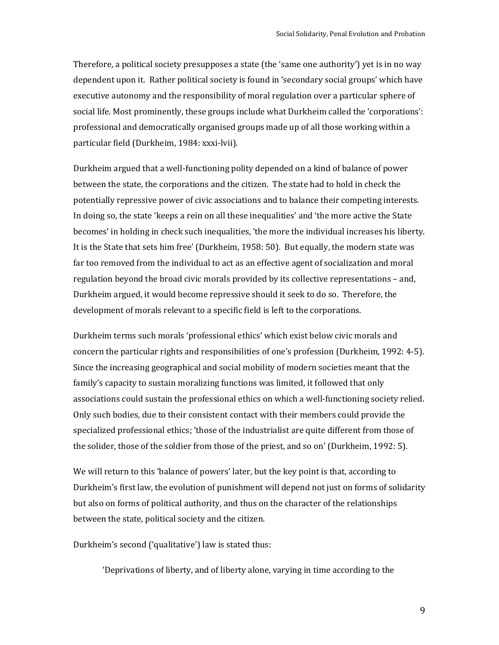Therefore, a political society presupposes a state (the 'same one authority') yet is in no way dependent upon it. Rather political society is found in 'secondary social groups' which have executive autonomy and the responsibility of moral regulation over a particular sphere of social life. Most prominently, these groups include what Durkheim called the 'corporations': professional and democratically organised groups made up of all those working within a particular field (Durkheim, 1984: xxxi-lvii).

Durkheim argued that a well-functioning polity depended on a kind of balance of power between the state, the corporations and the citizen. The state had to hold in check the potentially repressive power of civic associations and to balance their competing interests. In doing so, the state 'keeps a rein on all these inequalities' and 'the more active the State becomes' in holding in check such inequalities, 'the more the individual increases his liberty. It is the State that sets him free' (Durkheim, 1958: 50). But equally, the modern state was far too removed from the individual to act as an effective agent of socialization and moral regulation beyond the broad civic morals provided by its collective representations – and, Durkheim argued, it would become repressive should it seek to do so. Therefore, the development of morals relevant to a specific field is left to the corporations.

Durkheim terms such morals 'professional ethics' which exist below civic morals and concern the particular rights and responsibilities of one's profession (Durkheim, 1992: 4-5). Since the increasing geographical and social mobility of modern societies meant that the family's capacity to sustain moralizing functions was limited, it followed that only associations could sustain the professional ethics on which a well-functioning society relied. Only such bodies, due to their consistent contact with their members could provide the specialized professional ethics; 'those of the industrialist are quite different from those of the solider, those of the soldier from those of the priest, and so on' (Durkheim, 1992: 5).

We will return to this 'balance of powers' later, but the key point is that, according to Durkheim's first law, the evolution of punishment will depend not just on forms of solidarity but also on forms of political authority, and thus on the character of the relationships between the state, political society and the citizen.

Durkheim's second ('qualitative') law is stated thus:

'Deprivations of liberty, and of liberty alone, varying in time according to the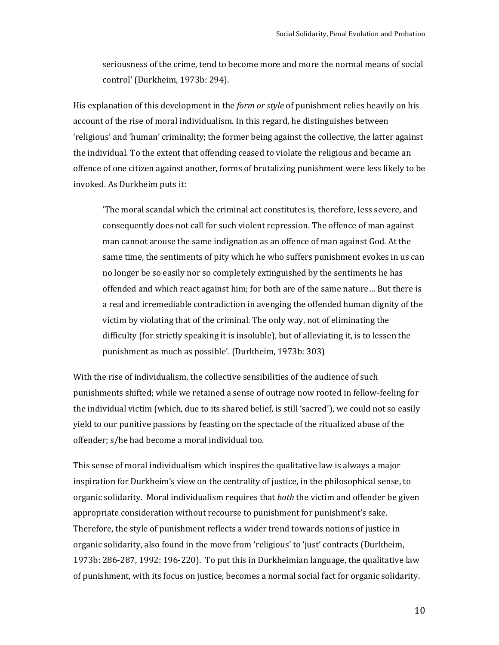seriousness of the crime, tend to become more and more the normal means of social control' (Durkheim, 1973b: 294).

His explanation of this development in the *form or style* of punishment relies heavily on his account of the rise of moral individualism. In this regard, he distinguishes between 'religious' and 'human' criminality; the former being against the collective, the latter against the individual. To the extent that offending ceased to violate the religious and became an offence of one citizen against another, forms of brutalizing punishment were less likely to be invoked. As Durkheim puts it:

'The moral scandal which the criminal act constitutes is, therefore, less severe, and consequently does not call for such violent repression. The offence of man against man cannot arouse the same indignation as an offence of man against God. At the same time, the sentiments of pity which he who suffers punishment evokes in us can no longer be so easily nor so completely extinguished by the sentiments he has offended and which react against him; for both are of the same nature… But there is a real and irremediable contradiction in avenging the offended human dignity of the victim by violating that of the criminal. The only way, not of eliminating the difficulty (for strictly speaking it is insoluble), but of alleviating it, is to lessen the punishment as much as possible'. (Durkheim, 1973b: 303)

With the rise of individualism, the collective sensibilities of the audience of such punishments shifted; while we retained a sense of outrage now rooted in fellow-feeling for the individual victim (which, due to its shared belief, is still 'sacred'), we could not so easily yield to our punitive passions by feasting on the spectacle of the ritualized abuse of the offender; s/he had become a moral individual too.

This sense of moral individualism which inspires the qualitative law is always a major inspiration for Durkheim's view on the centrality of justice, in the philosophical sense, to organic solidarity. Moral individualism requires that *both* the victim and offender be given appropriate consideration without recourse to punishment for punishment's sake. Therefore, the style of punishment reflects a wider trend towards notions of justice in organic solidarity, also found in the move from 'religious' to 'just' contracts (Durkheim, 1973b: 286-287, 1992: 196-220). To put this in Durkheimian language, the qualitative law of punishment, with its focus on justice, becomes a normal social fact for organic solidarity.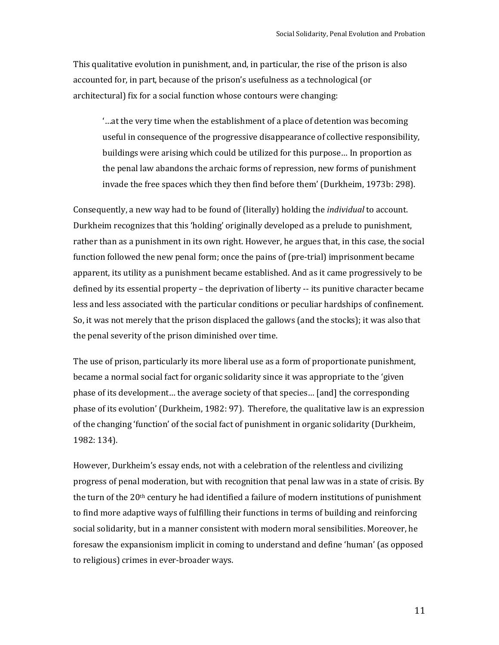This qualitative evolution in punishment, and, in particular, the rise of the prison is also accounted for, in part, because of the prison's usefulness as a technological (or architectural) fix for a social function whose contours were changing:

'…at the very time when the establishment of a place of detention was becoming useful in consequence of the progressive disappearance of collective responsibility, buildings were arising which could be utilized for this purpose… In proportion as the penal law abandons the archaic forms of repression, new forms of punishment invade the free spaces which they then find before them' (Durkheim, 1973b: 298).

Consequently, a new way had to be found of (literally) holding the *individual* to account. Durkheim recognizes that this 'holding' originally developed as a prelude to punishment, rather than as a punishment in its own right. However, he argues that, in this case, the social function followed the new penal form; once the pains of (pre-trial) imprisonment became apparent, its utility as a punishment became established. And as it came progressively to be defined by its essential property – the deprivation of liberty -- its punitive character became less and less associated with the particular conditions or peculiar hardships of confinement. So, it was not merely that the prison displaced the gallows (and the stocks); it was also that the penal severity of the prison diminished over time.

The use of prison, particularly its more liberal use as a form of proportionate punishment, became a normal social fact for organic solidarity since it was appropriate to the 'given phase of its development… the average society of that species… [and] the corresponding phase of its evolution' (Durkheim, 1982: 97). Therefore, the qualitative law is an expression of the changing 'function' of the social fact of punishment in organic solidarity (Durkheim, 1982: 134).

However, Durkheim's essay ends, not with a celebration of the relentless and civilizing progress of penal moderation, but with recognition that penal law was in a state of crisis. By the turn of the 20th century he had identified a failure of modern institutions of punishment to find more adaptive ways of fulfilling their functions in terms of building and reinforcing social solidarity, but in a manner consistent with modern moral sensibilities. Moreover, he foresaw the expansionism implicit in coming to understand and define 'human' (as opposed to religious) crimes in ever-broader ways.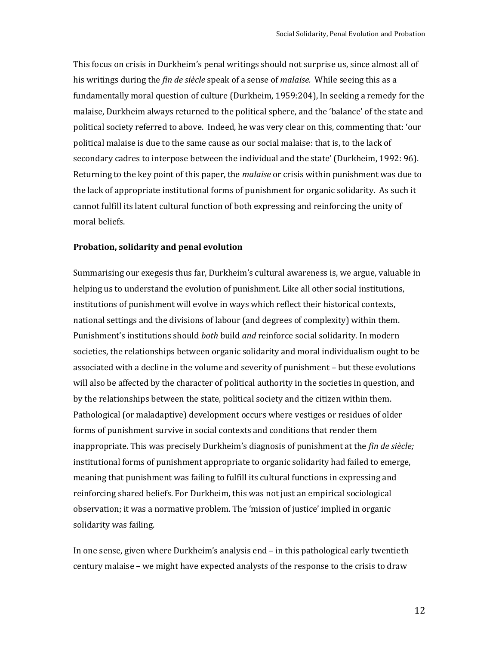This focus on crisis in Durkheim's penal writings should not surprise us, since almost all of his writings during the *fin de siècle* speak of a sense of *malaise.* While seeing this as a fundamentally moral question of culture (Durkheim, 1959:204), In seeking a remedy for the malaise, Durkheim always returned to the political sphere, and the 'balance' of the state and political society referred to above. Indeed, he was very clear on this, commenting that: 'our political malaise is due to the same cause as our social malaise: that is, to the lack of secondary cadres to interpose between the individual and the state' (Durkheim, 1992: 96). Returning to the key point of this paper, the *malaise* or crisis within punishment was due to the lack of appropriate institutional forms of punishment for organic solidarity. As such it cannot fulfill its latent cultural function of both expressing and reinforcing the unity of moral beliefs.

### **Probation, solidarity and penal evolution**

Summarising our exegesis thus far, Durkheim's cultural awareness is, we argue, valuable in helping us to understand the evolution of punishment. Like all other social institutions, institutions of punishment will evolve in ways which reflect their historical contexts, national settings and the divisions of labour (and degrees of complexity) within them. Punishment's institutions should *both* build *and* reinforce social solidarity. In modern societies, the relationships between organic solidarity and moral individualism ought to be associated with a decline in the volume and severity of punishment – but these evolutions will also be affected by the character of political authority in the societies in question, and by the relationships between the state, political society and the citizen within them. Pathological (or maladaptive) development occurs where vestiges or residues of older forms of punishment survive in social contexts and conditions that render them inappropriate. This was precisely Durkheim's diagnosis of punishment at the *fin de siècle;*  institutional forms of punishment appropriate to organic solidarity had failed to emerge, meaning that punishment was failing to fulfill its cultural functions in expressing and reinforcing shared beliefs. For Durkheim, this was not just an empirical sociological observation; it was a normative problem. The 'mission of justice' implied in organic solidarity was failing.

In one sense, given where Durkheim's analysis end – in this pathological early twentieth century malaise – we might have expected analysts of the response to the crisis to draw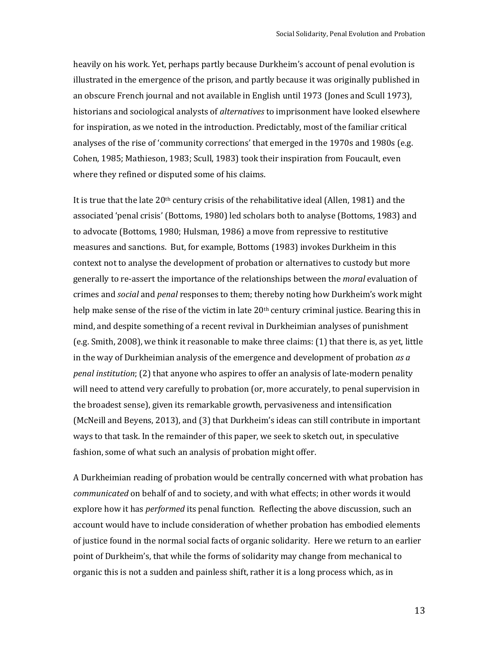heavily on his work. Yet, perhaps partly because Durkheim's account of penal evolution is illustrated in the emergence of the prison, and partly because it was originally published in an obscure French journal and not available in English until 1973 (Jones and Scull 1973), historians and sociological analysts of *alternatives* to imprisonment have looked elsewhere for inspiration, as we noted in the introduction. Predictably, most of the familiar critical analyses of the rise of 'community corrections' that emerged in the 1970s and 1980s (e.g. Cohen, 1985; Mathieson, 1983; Scull, 1983) took their inspiration from Foucault, even where they refined or disputed some of his claims.

It is true that the late 20th century crisis of the rehabilitative ideal (Allen, 1981) and the associated 'penal crisis' (Bottoms, 1980) led scholars both to analyse (Bottoms, 1983) and to advocate (Bottoms, 1980; Hulsman, 1986) a move from repressive to restitutive measures and sanctions. But, for example, Bottoms (1983) invokes Durkheim in this context not to analyse the development of probation or alternatives to custody but more generally to re-assert the importance of the relationships between the *moral* evaluation of crimes and *social* and *penal* responses to them; thereby noting how Durkheim's work might help make sense of the rise of the victim in late  $20<sup>th</sup>$  century criminal justice. Bearing this in mind, and despite something of a recent revival in Durkheimian analyses of punishment (e.g. Smith, 2008), we think it reasonable to make three claims: (1) that there is, as yet, little in the way of Durkheimian analysis of the emergence and development of probation *as a penal institution*; (2) that anyone who aspires to offer an analysis of late-modern penality will need to attend very carefully to probation (or, more accurately, to penal supervision in the broadest sense), given its remarkable growth, pervasiveness and intensification (McNeill and Beyens, 2013), and (3) that Durkheim's ideas can still contribute in important ways to that task. In the remainder of this paper, we seek to sketch out, in speculative fashion, some of what such an analysis of probation might offer.

A Durkheimian reading of probation would be centrally concerned with what probation has *communicated* on behalf of and to society, and with what effects; in other words it would explore how it has *performed* its penal function. Reflecting the above discussion, such an account would have to include consideration of whether probation has embodied elements of justice found in the normal social facts of organic solidarity. Here we return to an earlier point of Durkheim's, that while the forms of solidarity may change from mechanical to organic this is not a sudden and painless shift, rather it is a long process which, as in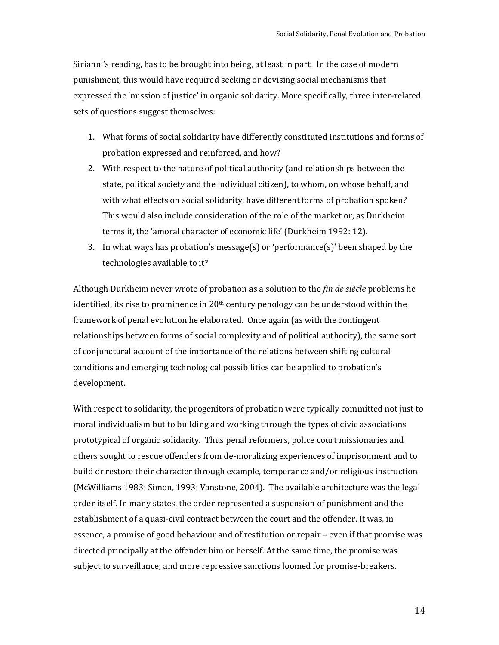Sirianni's reading, has to be brought into being, at least in part. In the case of modern punishment, this would have required seeking or devising social mechanisms that expressed the 'mission of justice' in organic solidarity. More specifically, three inter-related sets of questions suggest themselves:

- 1. What forms of social solidarity have differently constituted institutions and forms of probation expressed and reinforced, and how?
- 2. With respect to the nature of political authority (and relationships between the state, political society and the individual citizen), to whom, on whose behalf, and with what effects on social solidarity, have different forms of probation spoken? This would also include consideration of the role of the market or, as Durkheim terms it, the 'amoral character of economic life' (Durkheim 1992: 12).
- 3. In what ways has probation's message(s) or 'performance(s)' been shaped by the technologies available to it?

Although Durkheim never wrote of probation as a solution to the *fin de siècle* problems he identified, its rise to prominence in 20<sup>th</sup> century penology can be understood within the framework of penal evolution he elaborated. Once again (as with the contingent relationships between forms of social complexity and of political authority), the same sort of conjunctural account of the importance of the relations between shifting cultural conditions and emerging technological possibilities can be applied to probation's development.

With respect to solidarity, the progenitors of probation were typically committed not just to moral individualism but to building and working through the types of civic associations prototypical of organic solidarity. Thus penal reformers, police court missionaries and others sought to rescue offenders from de-moralizing experiences of imprisonment and to build or restore their character through example, temperance and/or religious instruction (McWilliams 1983; Simon, 1993; Vanstone, 2004). The available architecture was the legal order itself. In many states, the order represented a suspension of punishment and the establishment of a quasi-civil contract between the court and the offender. It was, in essence, a promise of good behaviour and of restitution or repair – even if that promise was directed principally at the offender him or herself. At the same time, the promise was subject to surveillance; and more repressive sanctions loomed for promise-breakers.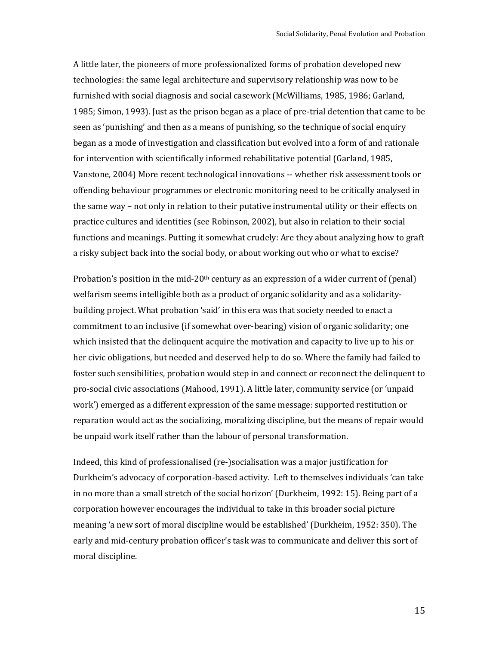A little later, the pioneers of more professionalized forms of probation developed new technologies: the same legal architecture and supervisory relationship was now to be furnished with social diagnosis and social casework (McWilliams, 1985, 1986; Garland, 1985; Simon, 1993). Just as the prison began as a place of pre-trial detention that came to be seen as 'punishing' and then as a means of punishing, so the technique of social enquiry began as a mode of investigation and classification but evolved into a form of and rationale for intervention with scientifically informed rehabilitative potential (Garland, 1985, Vanstone, 2004) More recent technological innovations -- whether risk assessment tools or offending behaviour programmes or electronic monitoring need to be critically analysed in the same way – not only in relation to their putative instrumental utility or their effects on practice cultures and identities (see Robinson, 2002), but also in relation to their social functions and meanings. Putting it somewhat crudely: Are they about analyzing how to graft a risky subject back into the social body, or about working out who or what to excise?

Probation's position in the mid-20<sup>th</sup> century as an expression of a wider current of (penal) welfarism seems intelligible both as a product of organic solidarity and as a solidaritybuilding project. What probation 'said' in this era was that society needed to enact a commitment to an inclusive (if somewhat over-bearing) vision of organic solidarity; one which insisted that the delinquent acquire the motivation and capacity to live up to his or her civic obligations, but needed and deserved help to do so. Where the family had failed to foster such sensibilities, probation would step in and connect or reconnect the delinquent to pro-social civic associations (Mahood, 1991). A little later, community service (or 'unpaid work') emerged as a different expression of the same message: supported restitution or reparation would act as the socializing, moralizing discipline, but the means of repair would be unpaid work itself rather than the labour of personal transformation.

Indeed, this kind of professionalised (re-)socialisation was a major justification for Durkheim's advocacy of corporation-based activity. Left to themselves individuals 'can take in no more than a small stretch of the social horizon' (Durkheim, 1992: 15). Being part of a corporation however encourages the individual to take in this broader social picture meaning 'a new sort of moral discipline would be established' (Durkheim, 1952: 350). The early and mid-century probation officer's task was to communicate and deliver this sort of moral discipline.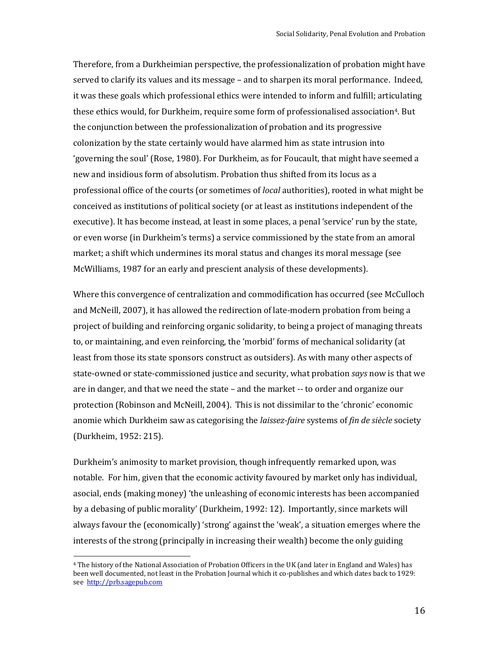Therefore, from a Durkheimian perspective, the professionalization of probation might have served to clarify its values and its message – and to sharpen its moral performance. Indeed, it was these goals which professional ethics were intended to inform and fulfill; articulating these ethics would, for Durkheim, require some form of professionalised association<sup>4</sup>. But the conjunction between the professionalization of probation and its progressive colonization by the state certainly would have alarmed him as state intrusion into 'governing the soul' (Rose, 1980). For Durkheim, as for Foucault, that might have seemed a new and insidious form of absolutism. Probation thus shifted from its locus as a professional office of the courts (or sometimes of *local* authorities), rooted in what might be conceived as institutions of political society (or at least as institutions independent of the executive). It has become instead, at least in some places, a penal 'service' run by the state, or even worse (in Durkheim's terms) a service commissioned by the state from an amoral market; a shift which undermines its moral status and changes its moral message (see McWilliams, 1987 for an early and prescient analysis of these developments).

Where this convergence of centralization and commodification has occurred (see McCulloch and McNeill, 2007), it has allowed the redirection of late-modern probation from being a project of building and reinforcing organic solidarity, to being a project of managing threats to, or maintaining, and even reinforcing, the 'morbid' forms of mechanical solidarity (at least from those its state sponsors construct as outsiders). As with many other aspects of state-owned or state-commissioned justice and security, what probation *says* now is that we are in danger, and that we need the state – and the market -- to order and organize our protection (Robinson and McNeill, 2004). This is not dissimilar to the 'chronic' economic anomie which Durkheim saw as categorising the *laissez-faire* systems of *fin de siècle* society (Durkheim, 1952: 215).

Durkheim's animosity to market provision, though infrequently remarked upon, was notable. For him, given that the economic activity favoured by market only has individual, asocial, ends (making money) 'the unleashing of economic interests has been accompanied by a debasing of public morality' (Durkheim, 1992: 12). Importantly, since markets will always favour the (economically) 'strong' against the 'weak', a situation emerges where the interests of the strong (principally in increasing their wealth) become the only guiding

l

<sup>4</sup> The history of the National Association of Probation Officers in the UK (and later in England and Wales) has been well documented, not least in the Probation Journal which it co-publishes and which dates back to 1929: see [http://prb.sagepub.com](http://prb.sagepub.com/)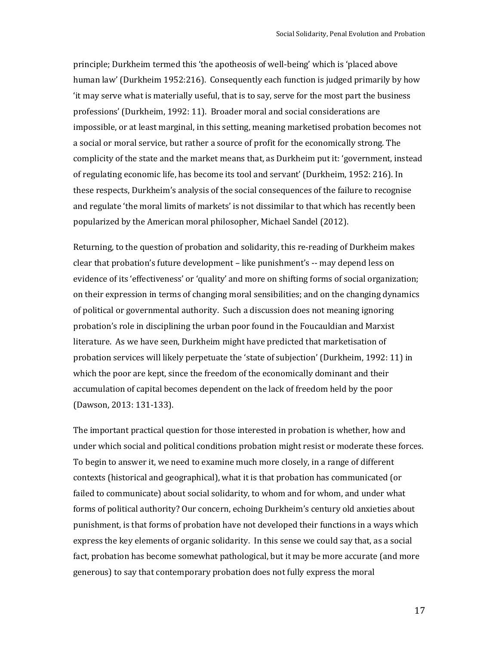principle; Durkheim termed this 'the apotheosis of well-being' which is 'placed above human law' (Durkheim 1952:216). Consequently each function is judged primarily by how 'it may serve what is materially useful, that is to say, serve for the most part the business professions' (Durkheim, 1992: 11). Broader moral and social considerations are impossible, or at least marginal, in this setting, meaning marketised probation becomes not a social or moral service, but rather a source of profit for the economically strong. The complicity of the state and the market means that, as Durkheim put it: 'government, instead of regulating economic life, has become its tool and servant' (Durkheim, 1952: 216). In these respects, Durkheim's analysis of the social consequences of the failure to recognise and regulate 'the moral limits of markets' is not dissimilar to that which has recently been popularized by the American moral philosopher, Michael Sandel (2012).

Returning, to the question of probation and solidarity, this re-reading of Durkheim makes clear that probation's future development – like punishment's -- may depend less on evidence of its 'effectiveness' or 'quality' and more on shifting forms of social organization; on their expression in terms of changing moral sensibilities; and on the changing dynamics of political or governmental authority. Such a discussion does not meaning ignoring probation's role in disciplining the urban poor found in the Foucauldian and Marxist literature. As we have seen, Durkheim might have predicted that marketisation of probation services will likely perpetuate the 'state of subjection' (Durkheim, 1992: 11) in which the poor are kept, since the freedom of the economically dominant and their accumulation of capital becomes dependent on the lack of freedom held by the poor (Dawson, 2013: 131-133).

The important practical question for those interested in probation is whether, how and under which social and political conditions probation might resist or moderate these forces. To begin to answer it, we need to examine much more closely, in a range of different contexts (historical and geographical), what it is that probation has communicated (or failed to communicate) about social solidarity, to whom and for whom, and under what forms of political authority? Our concern, echoing Durkheim's century old anxieties about punishment, is that forms of probation have not developed their functions in a ways which express the key elements of organic solidarity. In this sense we could say that, as a social fact, probation has become somewhat pathological, but it may be more accurate (and more generous) to say that contemporary probation does not fully express the moral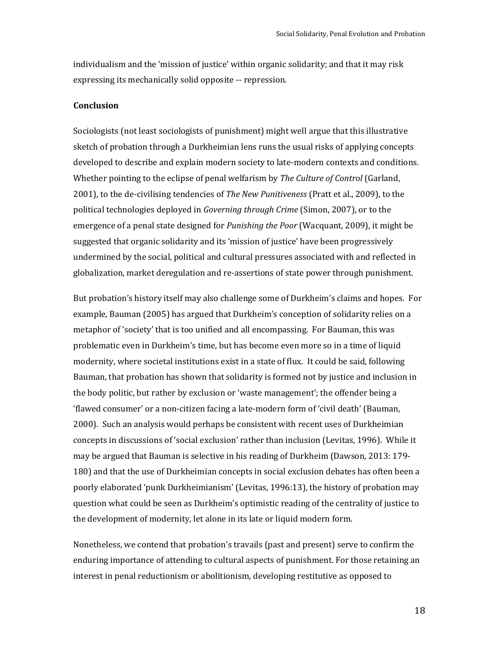individualism and the 'mission of justice' within organic solidarity; and that it may risk expressing its mechanically solid opposite -- repression.

#### **Conclusion**

Sociologists (not least sociologists of punishment) might well argue that this illustrative sketch of probation through a Durkheimian lens runs the usual risks of applying concepts developed to describe and explain modern society to late-modern contexts and conditions. Whether pointing to the eclipse of penal welfarism by *The Culture of Control* (Garland, 2001), to the de-civilising tendencies of *The New Punitiveness* (Pratt et al., 2009), to the political technologies deployed in *Governing through Crime* (Simon, 2007), or to the emergence of a penal state designed for *Punishing the Poor* (Wacquant, 2009), it might be suggested that organic solidarity and its 'mission of justice' have been progressively undermined by the social, political and cultural pressures associated with and reflected in globalization, market deregulation and re-assertions of state power through punishment.

But probation's history itself may also challenge some of Durkheim's claims and hopes. For example, Bauman (2005) has argued that Durkheim's conception of solidarity relies on a metaphor of 'society' that is too unified and all encompassing. For Bauman, this was problematic even in Durkheim's time, but has become even more so in a time of liquid modernity, where societal institutions exist in a state of flux. It could be said, following Bauman, that probation has shown that solidarity is formed not by justice and inclusion in the body politic, but rather by exclusion or 'waste management'; the offender being a 'flawed consumer' or a non-citizen facing a late-modern form of 'civil death' (Bauman, 2000). Such an analysis would perhaps be consistent with recent uses of Durkheimian concepts in discussions of 'social exclusion' rather than inclusion (Levitas, 1996). While it may be argued that Bauman is selective in his reading of Durkheim (Dawson, 2013: 179- 180) and that the use of Durkheimian concepts in social exclusion debates has often been a poorly elaborated 'punk Durkheimianism' (Levitas, 1996:13), the history of probation may question what could be seen as Durkheim's optimistic reading of the centrality of justice to the development of modernity, let alone in its late or liquid modern form.

Nonetheless, we contend that probation's travails (past and present) serve to confirm the enduring importance of attending to cultural aspects of punishment. For those retaining an interest in penal reductionism or abolitionism, developing restitutive as opposed to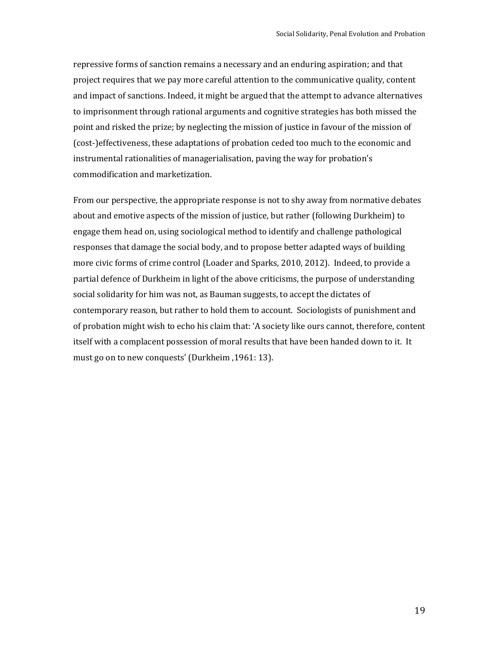repressive forms of sanction remains a necessary and an enduring aspiration; and that project requires that we pay more careful attention to the communicative quality, content and impact of sanctions. Indeed, it might be argued that the attempt to advance alternatives to imprisonment through rational arguments and cognitive strategies has both missed the point and risked the prize; by neglecting the mission of justice in favour of the mission of (cost-)effectiveness, these adaptations of probation ceded too much to the economic and instrumental rationalities of managerialisation, paving the way for probation's commodification and marketization.

From our perspective, the appropriate response is not to shy away from normative debates about and emotive aspects of the mission of justice, but rather (following Durkheim) to engage them head on, using sociological method to identify and challenge pathological responses that damage the social body, and to propose better adapted ways of building more civic forms of crime control (Loader and Sparks, 2010, 2012). Indeed, to provide a partial defence of Durkheim in light of the above criticisms, the purpose of understanding social solidarity for him was not, as Bauman suggests, to accept the dictates of contemporary reason, but rather to hold them to account. Sociologists of punishment and of probation might wish to echo his claim that: 'A society like ours cannot, therefore, content itself with a complacent possession of moral results that have been handed down to it. It must go on to new conquests' (Durkheim ,1961: 13).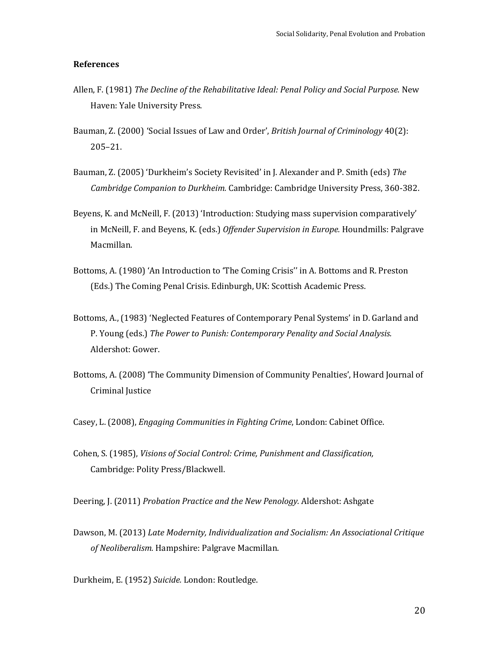#### **References**

- Allen, F. (1981) *The Decline of the Rehabilitative Ideal: Penal Policy and Social Purpose.* New Haven: Yale University Press.
- Bauman, Z. (2000) 'Social Issues of Law and Order', *British Journal of Criminology* 40(2): 205–21.
- Bauman, Z. (2005) 'Durkheim's Society Revisited' in J. Alexander and P. Smith (eds) *The Cambridge Companion to Durkheim.* Cambridge: Cambridge University Press, 360-382.
- Beyens, K. and McNeill, F. (2013) 'Introduction: Studying mass supervision comparatively' in McNeill, F. and Beyens, K. (eds.) *Offender Supervision in Europe.* Houndmills: Palgrave Macmillan.
- Bottoms, A. (1980) 'An Introduction to 'The Coming Crisis'' in A. Bottoms and R. Preston (Eds.) The Coming Penal Crisis. Edinburgh, UK: Scottish Academic Press.
- Bottoms, A., (1983) 'Neglected Features of Contemporary Penal Systems' in D. Garland and P. Young (eds.) *The Power to Punish: Contemporary Penality and Social Analysis.* Aldershot: Gower.
- Bottoms, A. (2008) 'The Community Dimension of Community Penalties', Howard Journal of Criminal Justice
- Casey, L. (2008), *Engaging Communities in Fighting Crime*, London: Cabinet Office.
- Cohen, S. (1985), *Visions of Social Control: Crime, Punishment and Classification,* Cambridge: Polity Press/Blackwell.

Deering, J. (2011) *Probation Practice and the New Penology.* Aldershot: Ashgate

Dawson, M. (2013) *Late Modernity, Individualization and Socialism: An Associational Critique of Neoliberalism.* Hampshire: Palgrave Macmillan.

Durkheim, E. (1952) *Suicide.* London: Routledge.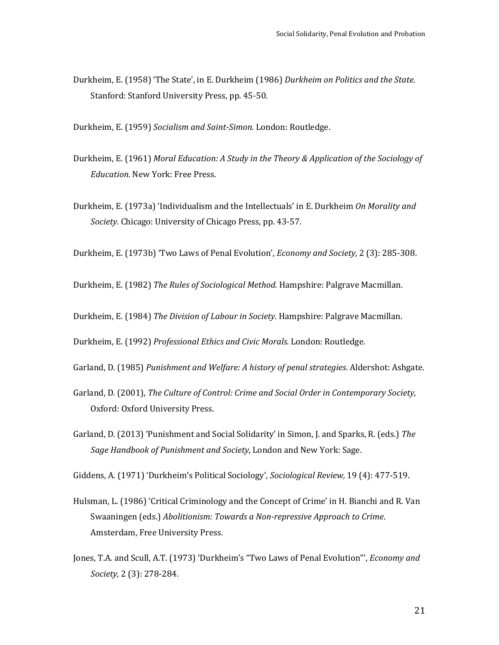Durkheim, E. (1958) 'The State', in E. Durkheim (1986) *Durkheim on Politics and the State.*  Stanford: Stanford University Press, pp. 45-50.

Durkheim, E. (1959) *Socialism and Saint-Simon.* London: Routledge.

- Durkheim, E. (1961) *Moral Education: A Study in the Theory & Application of the Sociology of Education.* New York: Free Press.
- Durkheim, E. (1973a) 'Individualism and the Intellectuals' in E. Durkheim *On Morality and Society.* Chicago: University of Chicago Press, pp. 43-57.

Durkheim, E. (1973b) 'Two Laws of Penal Evolution', *Economy and Society,* 2 (3): 285-308.

Durkheim, E. (1982) *The Rules of Sociological Method.* Hampshire: Palgrave Macmillan.

Durkheim, E. (1984) *The Division of Labour in Society.* Hampshire: Palgrave Macmillan.

Durkheim, E. (1992) *Professional Ethics and Civic Morals.* London: Routledge.

Garland, D. (1985) *Punishment and Welfare: A history of penal strategies*. Aldershot: Ashgate.

- Garland, D. (2001), *The Culture of Control: Crime and Social Order in Contemporary Society,*  Oxford: Oxford University Press.
- Garland, D. (2013) 'Punishment and Social Solidarity' in Simon, J. and Sparks, R. (eds.) *The Sage Handbook of Punishment and Society*, London and New York: Sage.

Giddens, A. (1971) 'Durkheim's Political Sociology', *Sociological Review,* 19 (4): 477-519.

- Hulsman, L. (1986) 'Critical Criminology and the Concept of Crime' in H. Bianchi and R. Van Swaaningen (eds.) *Abolitionism: Towards a Non-repressive Approach to Crime*. Amsterdam, Free University Press.
- Jones, T.A. and Scull, A.T. (1973) 'Durkheim's "Two Laws of Penal Evolution"', *Economy and Society,* 2 (3): 278-284.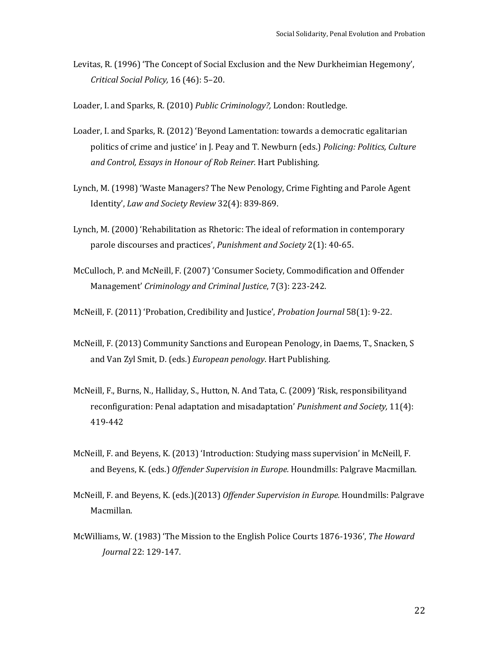Levitas, R. (1996) 'The Concept of Social Exclusion and the New Durkheimian Hegemony', *Critical Social Policy,* 16 (46): 5–20.

Loader, I. and Sparks, R. (2010) *Public Criminology?,* London: Routledge.

- Loader, I. and Sparks, R. (2012) 'Beyond Lamentation: towards a democratic egalitarian politics of crime and justice' in J. Peay and T. Newburn (eds.) *Policing: Politics, Culture and Control, Essays in Honour of Rob Reiner.* Hart Publishing.
- Lynch, M. (1998) 'Waste Managers? The New Penology, Crime Fighting and Parole Agent Identity', *Law and Society Review* 32(4): 839-869.
- Lynch, M. (2000) 'Rehabilitation as Rhetoric: The ideal of reformation in contemporary parole discourses and practices', *Punishment and Society* 2(1): 40-65.
- McCulloch, P. and McNeill, F. (2007) 'Consumer Society, Commodification and Offender Management' *Criminology and Criminal Justice*, 7(3): 223-242.

McNeill, F. (2011) 'Probation, Credibility and Justice', *Probation Journal* 58(1): 9-22.

- McNeill, F. (2013) Community Sanctions and European Penology, in Daems, T., Snacken, S and Van Zyl Smit, D. (eds.) *European penology*. Hart Publishing.
- McNeill, F., Burns, N., Halliday, S., Hutton, N. And Tata, C. (2009) 'Risk, responsibilityand reconfiguration: Penal adaptation and misadaptation' *Punishment and Society,* 11(4): 419-442
- McNeill, F. and Beyens, K. (2013) 'Introduction: Studying mass supervision' in McNeill, F. and Beyens, K. (eds.) *Offender Supervision in Europe.* Houndmills: Palgrave Macmillan.
- McNeill, F. and Beyens, K. (eds.)(2013) *Offender Supervision in Europe.* Houndmills: Palgrave Macmillan.
- McWilliams, W. (1983) 'The Mission to the English Police Courts 1876-1936', *The Howard Journal* 22: 129-147.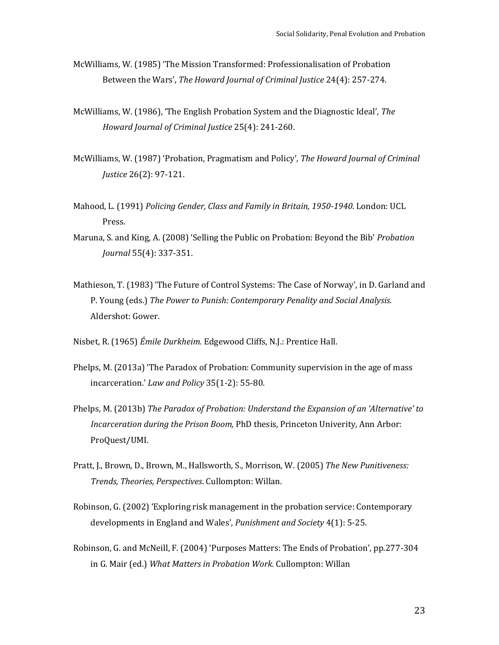- McWilliams, W. (1985) 'The Mission Transformed: Professionalisation of Probation Between the Wars', *The Howard Journal of Criminal Justice* 24(4): 257-274.
- McWilliams, W. (1986), 'The English Probation System and the Diagnostic Ideal', *The Howard Journal of Criminal Justice* 25(4): 241-260.
- McWilliams, W. (1987) 'Probation, Pragmatism and Policy', *The Howard Journal of Criminal Justice* 26(2): 97-121.
- Mahood, L. (1991) *Policing Gender, Class and Family in Britain, 1950-1940*. London: UCL Press.
- Maruna, S. and King, A. (2008) 'Selling the Public on Probation: Beyond the Bib' *Probation Journal* 55(4): 337-351.
- Mathieson, T. (1983) 'The Future of Control Systems: The Case of Norway', in D. Garland and P. Young (eds.) *The Power to Punish: Contemporary Penality and Social Analysis.* Aldershot: Gower.

Nisbet, R. (1965) *Émile Durkheim.* Edgewood Cliffs, N.J.: Prentice Hall.

- Phelps, M. (2013a) 'The Paradox of Probation: Community supervision in the age of mass incarceration.' *Law and Policy* 35(1-2): 55-80.
- Phelps, M. (2013b) *The Paradox of Probation: Understand the Expansion of an 'Alternative' to Incarceration during the Prison Boom,* PhD thesis, Princeton Univerity, Ann Arbor: ProQuest/UMI.
- Pratt, J., Brown, D., Brown, M., Hallsworth, S., Morrison, W. (2005) *The New Punitiveness: Trends, Theories, Perspectives*. Cullompton: Willan.
- Robinson, G. (2002) 'Exploring risk management in the probation service: Contemporary developments in England and Wales', *Punishment and Society* 4(1): 5-25.
- Robinson, G. and McNeill, F. (2004) 'Purposes Matters: The Ends of Probation', pp.277-304 in G. Mair (ed.) *What Matters in Probation Work.* Cullompton: Willan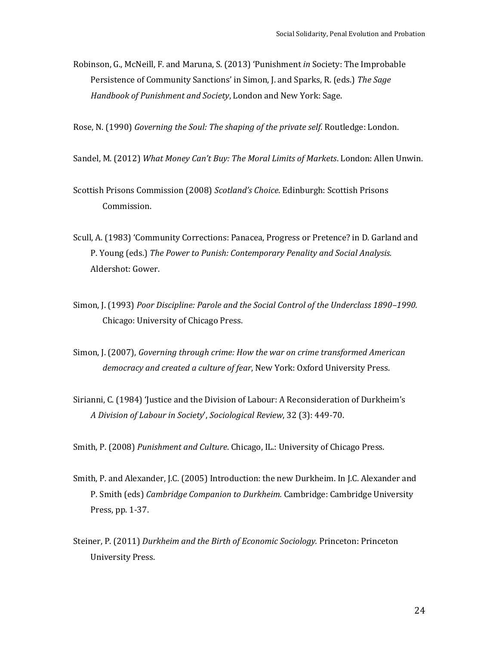Robinson, G., McNeill, F. and Maruna, S. (2013) 'Punishment *in* Society: The Improbable Persistence of Community Sanctions' in Simon, J. and Sparks, R. (eds.) *The Sage Handbook of Punishment and Society*, London and New York: Sage.

Rose, N. (1990) *Governing the Soul: The shaping of the private self*. Routledge: London.

- Sandel, M. (2012) *What Money Can't Buy: The Moral Limits of Markets*. London: Allen Unwin.
- Scottish Prisons Commission (2008) *Scotland's Choice*. Edinburgh: Scottish Prisons Commission.
- Scull, A. (1983) 'Community Corrections: Panacea, Progress or Pretence? in D. Garland and P. Young (eds.) *The Power to Punish: Contemporary Penality and Social Analysis.* Aldershot: Gower.
- Simon, J. (1993) *Poor Discipline: Parole and the Social Control of the Underclass 1890–1990.* Chicago: University of Chicago Press.
- Simon, J. (2007), *Governing through crime: How the war on crime transformed American democracy and created a culture of fear*, New York: Oxford University Press.
- Sirianni, C. (1984) 'Justice and the Division of Labour: A Reconsideration of Durkheim's *A Division of Labour in Society*', *Sociological Review*, 32 (3): 449-70.

Smith, P. (2008) *Punishment and Culture*. Chicago, IL.: University of Chicago Press.

- Smith, P. and Alexander, J.C. (2005) Introduction: the new Durkheim. In J.C. Alexander and P. Smith (eds) *Cambridge Companion to Durkheim.* Cambridge: Cambridge University Press, pp. 1-37.
- Steiner, P. (2011) *Durkheim and the Birth of Economic Sociology.* Princeton: Princeton University Press.